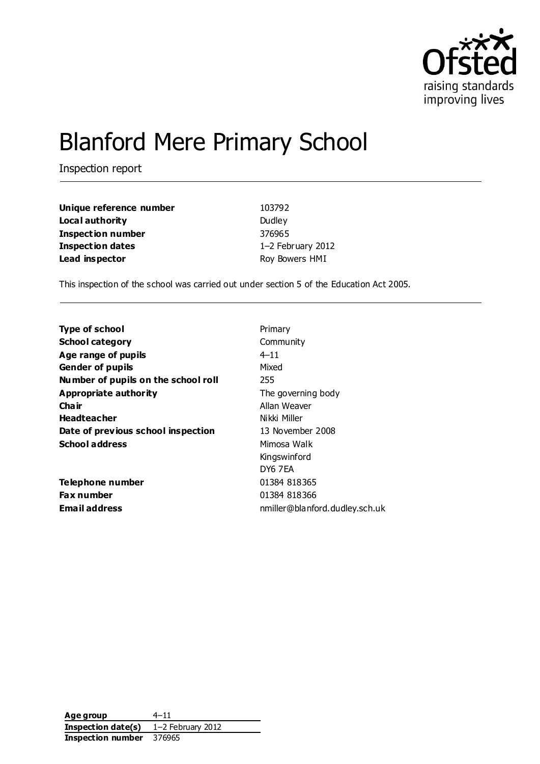

# Blanford Mere Primary School

Inspection report

| Unique reference number | 103792            |
|-------------------------|-------------------|
| Local authority         | Dudley            |
| Inspection number       | 376965            |
| <b>Inspection dates</b> | 1-2 February 2012 |
| Lead inspector          | Roy Bowers HMI    |

This inspection of the school was carried out under section 5 of the Education Act 2005.

| <b>Type of school</b>               | Primary                        |
|-------------------------------------|--------------------------------|
| <b>School category</b>              | Community                      |
| Age range of pupils                 | $4 - 11$                       |
| <b>Gender of pupils</b>             | Mixed                          |
| Number of pupils on the school roll | 255                            |
| Appropriate authority               | The governing body             |
| Cha ir                              | Allan Weaver                   |
| <b>Headteacher</b>                  | Nikki Miller                   |
| Date of previous school inspection  | 13 November 2008               |
| <b>School address</b>               | Mimosa Walk                    |
|                                     | Kingswinford                   |
|                                     | DY6 7EA                        |
| Telephone number                    | 01384 818365                   |
| <b>Fax number</b>                   | 01384 818366                   |
| <b>Email address</b>                | nmiller@blanford.dudley.sch.uk |
|                                     |                                |

**Age group** 4–11 **Inspection date(s)** 1–2 February 2012 **Inspection number** 376965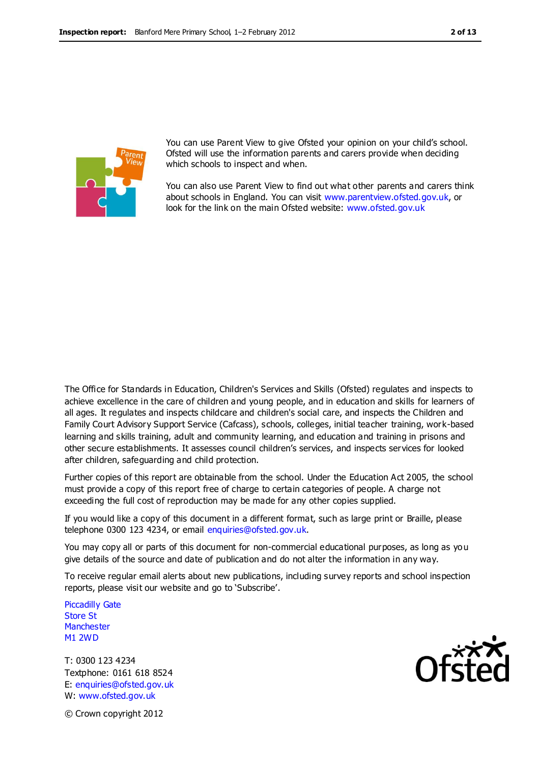

You can use Parent View to give Ofsted your opinion on your child's school. Ofsted will use the information parents and carers provide when deciding which schools to inspect and when.

You can also use Parent View to find out what other parents and carers think about schools in England. You can visit [www.parentview.ofsted.gov.uk,](http://www.parentview.ofsted.gov.uk/) or look for the link on the main Ofsted website: [www.ofsted.gov.uk](http://www.ofsted.gov.uk/)

The Office for Standards in Education, Children's Services and Skills (Ofsted) regulates and inspects to achieve excellence in the care of children and young people, and in education and skills for learners of all ages. It regulates and inspects childcare and children's social care, and inspects the Children and Family Court Advisory Support Service (Cafcass), schools, colleges, initial teacher training, work-based learning and skills training, adult and community learning, and education and training in prisons and other secure establishments. It assesses council children's services, and inspects services for looked after children, safeguarding and child protection.

Further copies of this report are obtainable from the school. Under the Education Act 2005, the school must provide a copy of this report free of charge to certain categories of people. A charge not exceeding the full cost of reproduction may be made for any other copies supplied.

If you would like a copy of this document in a different format, such as large print or Braille, please telephone 0300 123 4234, or email enquiries@ofsted.gov.uk.

You may copy all or parts of this document for non-commercial educational purposes, as long as you give details of the source and date of publication and do not alter the information in any way.

To receive regular email alerts about new publications, including survey reports and school inspection reports, please visit our website and go to 'Subscribe'.

Piccadilly Gate Store St **Manchester** M1 2WD

T: 0300 123 4234 Textphone: 0161 618 8524 E: enquiries@ofsted.gov.uk W: www.ofsted.gov.uk



© Crown copyright 2012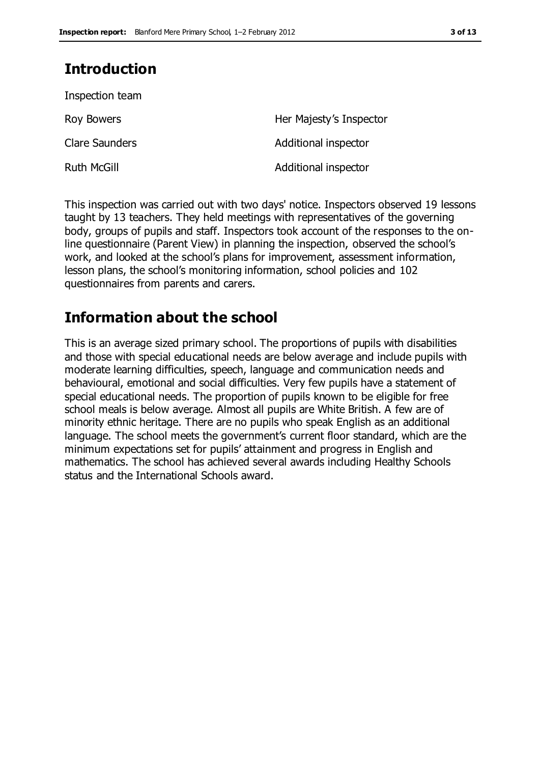# **Introduction**

| Inspection team       |                         |
|-----------------------|-------------------------|
| Roy Bowers            | Her Majesty's Inspector |
| <b>Clare Saunders</b> | Additional inspector    |
| <b>Ruth McGill</b>    | Additional inspector    |

This inspection was carried out with two days' notice. Inspectors observed 19 lessons taught by 13 teachers. They held meetings with representatives of the governing body, groups of pupils and staff. Inspectors took account of the responses to the online questionnaire (Parent View) in planning the inspection, observed the school's work, and looked at the school's plans for improvement, assessment information, lesson plans, the school's monitoring information, school policies and 102 questionnaires from parents and carers.

# **Information about the school**

This is an average sized primary school. The proportions of pupils with disabilities and those with special educational needs are below average and include pupils with moderate learning difficulties, speech, language and communication needs and behavioural, emotional and social difficulties. Very few pupils have a statement of special educational needs. The proportion of pupils known to be eligible for free school meals is below average. Almost all pupils are White British. A few are of minority ethnic heritage. There are no pupils who speak English as an additional language. The school meets the government's current floor standard, which are the minimum expectations set for pupils' attainment and progress in English and mathematics. The school has achieved several awards including Healthy Schools status and the International Schools award.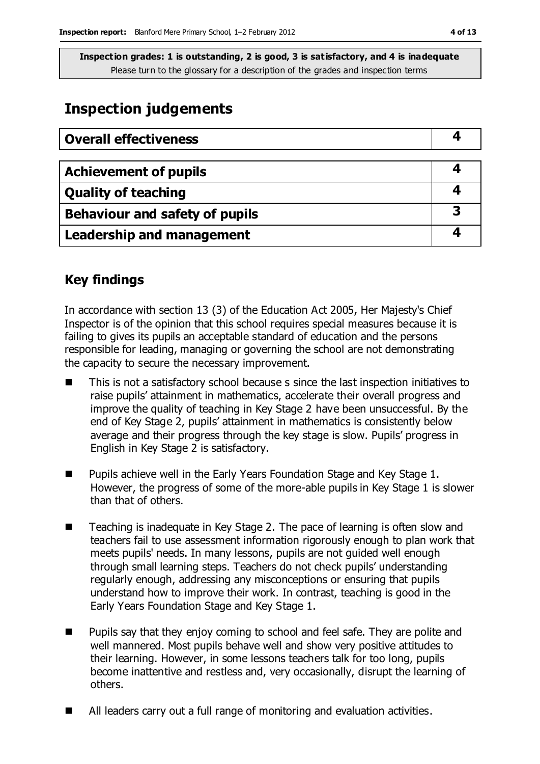# **Inspection judgements**

| <b>Overall effectiveness</b>     |   |
|----------------------------------|---|
|                                  |   |
| <b>Achievement of pupils</b>     |   |
| <b>Quality of teaching</b>       |   |
| Behaviour and safety of pupils   | 3 |
| <b>Leadership and management</b> |   |

# **Key findings**

In accordance with section 13 (3) of the Education Act 2005, Her Majesty's Chief Inspector is of the opinion that this school requires special measures because it is failing to gives its pupils an acceptable standard of education and the persons responsible for leading, managing or governing the school are not demonstrating the capacity to secure the necessary improvement.

- This is not a satisfactory school because s since the last inspection initiatives to raise pupils' attainment in mathematics, accelerate their overall progress and improve the quality of teaching in Key Stage 2 have been unsuccessful. By the end of Key Stage 2, pupils' attainment in mathematics is consistently below average and their progress through the key stage is slow. Pupils' progress in English in Key Stage 2 is satisfactory.
- $\blacksquare$  Pupils achieve well in the Early Years Foundation Stage and Key Stage 1. However, the progress of some of the more-able pupils in Key Stage 1 is slower than that of others.
- Teaching is inadequate in Key Stage 2. The pace of learning is often slow and teachers fail to use assessment information rigorously enough to plan work that meets pupils' needs. In many lessons, pupils are not guided well enough through small learning steps. Teachers do not check pupils' understanding regularly enough, addressing any misconceptions or ensuring that pupils understand how to improve their work. In contrast, teaching is good in the Early Years Foundation Stage and Key Stage 1.
- Pupils say that they enjoy coming to school and feel safe. They are polite and well mannered. Most pupils behave well and show very positive attitudes to their learning. However, in some lessons teachers talk for too long, pupils become inattentive and restless and, very occasionally, disrupt the learning of others.
- All leaders carry out a full range of monitoring and evaluation activities.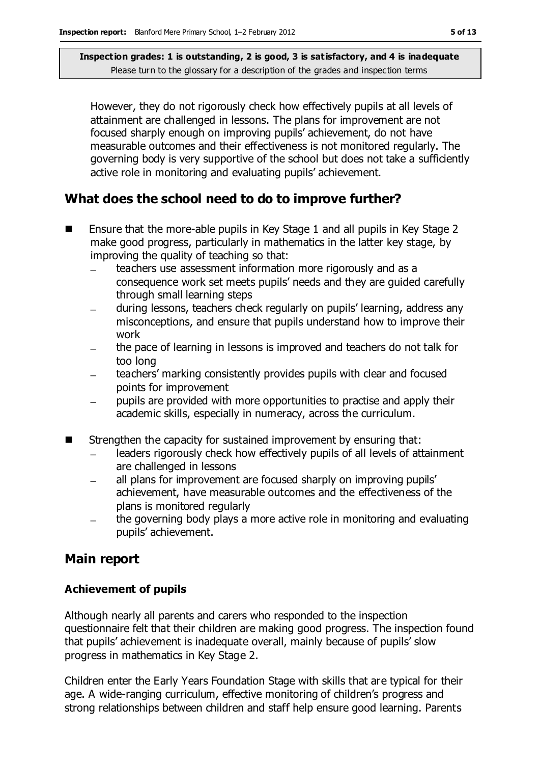However, they do not rigorously check how effectively pupils at all levels of attainment are challenged in lessons. The plans for improvement are not focused sharply enough on improving pupils' achievement, do not have measurable outcomes and their effectiveness is not monitored regularly. The governing body is very supportive of the school but does not take a sufficiently active role in monitoring and evaluating pupils' achievement.

# **What does the school need to do to improve further?**

- Ensure that the more-able pupils in Key Stage 1 and all pupils in Key Stage 2 make good progress, particularly in mathematics in the latter key stage, by improving the quality of teaching so that:
	- teachers use assessment information more rigorously and as a consequence work set meets pupils' needs and they are guided carefully through small learning steps
	- during lessons, teachers check regularly on pupils' learning, address any misconceptions, and ensure that pupils understand how to improve their work
	- the pace of learning in lessons is improved and teachers do not talk for too long
	- teachers' marking consistently provides pupils with clear and focused points for improvement
	- pupils are provided with more opportunities to practise and apply their academic skills, especially in numeracy, across the curriculum.
- Strengthen the capacity for sustained improvement by ensuring that:
	- leaders rigorously check how effectively pupils of all levels of attainment are challenged in lessons
	- all plans for improvement are focused sharply on improving pupils'  $\overline{\phantom{0}}$ achievement, have measurable outcomes and the effectiveness of the plans is monitored regularly
	- the governing body plays a more active role in monitoring and evaluating pupils' achievement.

# **Main report**

#### **Achievement of pupils**

Although nearly all parents and carers who responded to the inspection questionnaire felt that their children are making good progress. The inspection found that pupils' achievement is inadequate overall, mainly because of pupils' slow progress in mathematics in Key Stage 2.

Children enter the Early Years Foundation Stage with skills that are typical for their age. A wide-ranging curriculum, effective monitoring of children's progress and strong relationships between children and staff help ensure good learning. Parents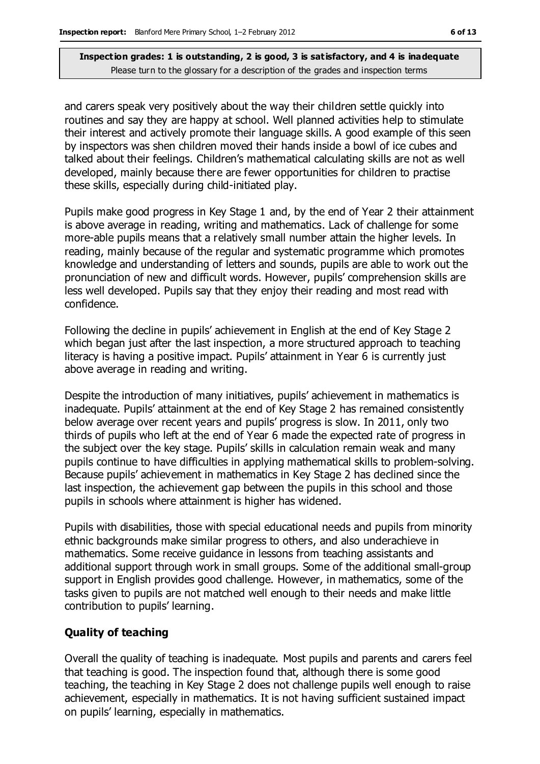and carers speak very positively about the way their children settle quickly into routines and say they are happy at school. Well planned activities help to stimulate their interest and actively promote their language skills. A good example of this seen by inspectors was shen children moved their hands inside a bowl of ice cubes and talked about their feelings. Children's mathematical calculating skills are not as well developed, mainly because there are fewer opportunities for children to practise these skills, especially during child-initiated play.

Pupils make good progress in Key Stage 1 and, by the end of Year 2 their attainment is above average in reading, writing and mathematics. Lack of challenge for some more-able pupils means that a relatively small number attain the higher levels. In reading, mainly because of the regular and systematic programme which promotes knowledge and understanding of letters and sounds, pupils are able to work out the pronunciation of new and difficult words. However, pupils' comprehension skills are less well developed. Pupils say that they enjoy their reading and most read with confidence.

Following the decline in pupils' achievement in English at the end of Key Stage 2 which began just after the last inspection, a more structured approach to teaching literacy is having a positive impact. Pupils' attainment in Year 6 is currently just above average in reading and writing.

Despite the introduction of many initiatives, pupils' achievement in mathematics is inadequate. Pupils' attainment at the end of Key Stage 2 has remained consistently below average over recent years and pupils' progress is slow. In 2011, only two thirds of pupils who left at the end of Year 6 made the expected rate of progress in the subject over the key stage. Pupils' skills in calculation remain weak and many pupils continue to have difficulties in applying mathematical skills to problem-solving. Because pupils' achievement in mathematics in Key Stage 2 has declined since the last inspection, the achievement gap between the pupils in this school and those pupils in schools where attainment is higher has widened.

Pupils with disabilities, those with special educational needs and pupils from minority ethnic backgrounds make similar progress to others, and also underachieve in mathematics. Some receive guidance in lessons from teaching assistants and additional support through work in small groups. Some of the additional small-group support in English provides good challenge. However, in mathematics, some of the tasks given to pupils are not matched well enough to their needs and make little contribution to pupils' learning.

#### **Quality of teaching**

Overall the quality of teaching is inadequate. Most pupils and parents and carers feel that teaching is good. The inspection found that, although there is some good teaching, the teaching in Key Stage 2 does not challenge pupils well enough to raise achievement, especially in mathematics. It is not having sufficient sustained impact on pupils' learning, especially in mathematics.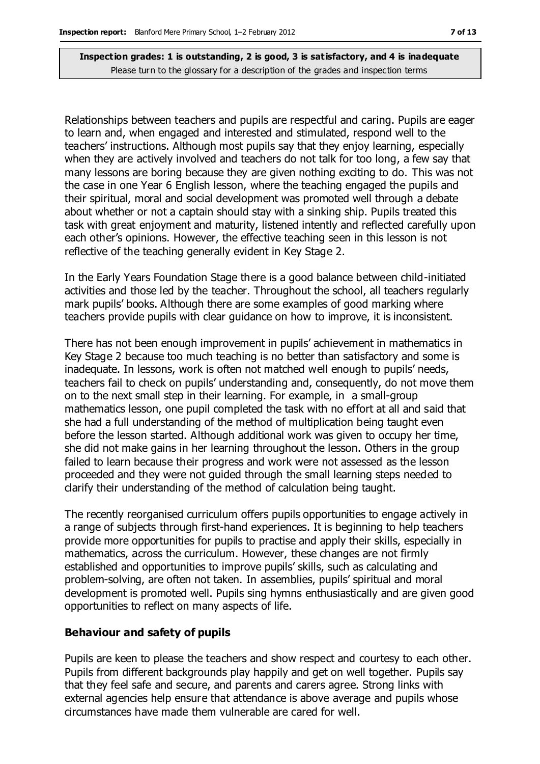Relationships between teachers and pupils are respectful and caring. Pupils are eager to learn and, when engaged and interested and stimulated, respond well to the teachers' instructions. Although most pupils say that they enjoy learning, especially when they are actively involved and teachers do not talk for too long, a few say that many lessons are boring because they are given nothing exciting to do. This was not the case in one Year 6 English lesson, where the teaching engaged the pupils and their spiritual, moral and social development was promoted well through a debate about whether or not a captain should stay with a sinking ship. Pupils treated this task with great enjoyment and maturity, listened intently and reflected carefully upon each other's opinions. However, the effective teaching seen in this lesson is not reflective of the teaching generally evident in Key Stage 2.

In the Early Years Foundation Stage there is a good balance between child-initiated activities and those led by the teacher. Throughout the school, all teachers regularly mark pupils' books. Although there are some examples of good marking where teachers provide pupils with clear guidance on how to improve, it is inconsistent.

There has not been enough improvement in pupils' achievement in mathematics in Key Stage 2 because too much teaching is no better than satisfactory and some is inadequate. In lessons, work is often not matched well enough to pupils' needs, teachers fail to check on pupils' understanding and, consequently, do not move them on to the next small step in their learning. For example, in a small-group mathematics lesson, one pupil completed the task with no effort at all and said that she had a full understanding of the method of multiplication being taught even before the lesson started. Although additional work was given to occupy her time, she did not make gains in her learning throughout the lesson. Others in the group failed to learn because their progress and work were not assessed as the lesson proceeded and they were not guided through the small learning steps needed to clarify their understanding of the method of calculation being taught.

The recently reorganised curriculum offers pupils opportunities to engage actively in a range of subjects through first-hand experiences. It is beginning to help teachers provide more opportunities for pupils to practise and apply their skills, especially in mathematics, across the curriculum. However, these changes are not firmly established and opportunities to improve pupils' skills, such as calculating and problem-solving, are often not taken. In assemblies, pupils' spiritual and moral development is promoted well. Pupils sing hymns enthusiastically and are given good opportunities to reflect on many aspects of life.

#### **Behaviour and safety of pupils**

Pupils are keen to please the teachers and show respect and courtesy to each other. Pupils from different backgrounds play happily and get on well together. Pupils say that they feel safe and secure, and parents and carers agree. Strong links with external agencies help ensure that attendance is above average and pupils whose circumstances have made them vulnerable are cared for well.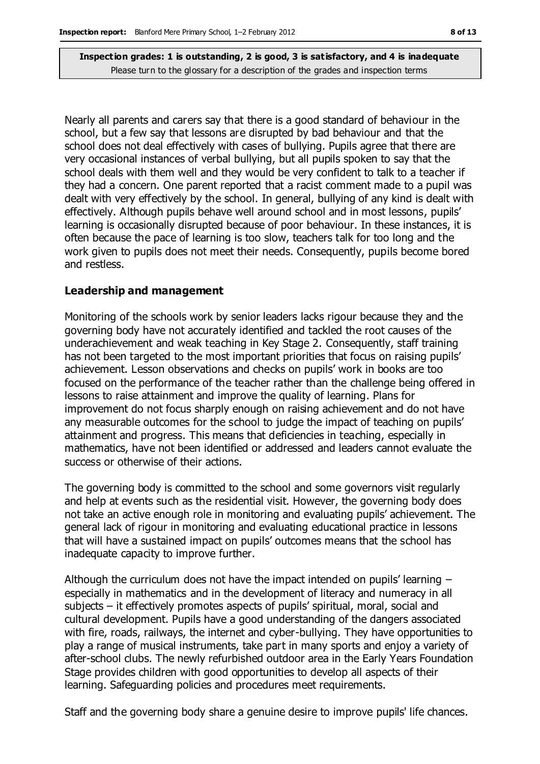Nearly all parents and carers say that there is a good standard of behaviour in the school, but a few say that lessons are disrupted by bad behaviour and that the school does not deal effectively with cases of bullying. Pupils agree that there are very occasional instances of verbal bullying, but all pupils spoken to say that the school deals with them well and they would be very confident to talk to a teacher if they had a concern. One parent reported that a racist comment made to a pupil was dealt with very effectively by the school. In general, bullying of any kind is dealt with effectively. Although pupils behave well around school and in most lessons, pupils' learning is occasionally disrupted because of poor behaviour. In these instances, it is often because the pace of learning is too slow, teachers talk for too long and the work given to pupils does not meet their needs. Consequently, pupils become bored and restless.

#### **Leadership and management**

Monitoring of the schools work by senior leaders lacks rigour because they and the governing body have not accurately identified and tackled the root causes of the underachievement and weak teaching in Key Stage 2. Consequently, staff training has not been targeted to the most important priorities that focus on raising pupils' achievement. Lesson observations and checks on pupils' work in books are too focused on the performance of the teacher rather than the challenge being offered in lessons to raise attainment and improve the quality of learning. Plans for improvement do not focus sharply enough on raising achievement and do not have any measurable outcomes for the school to judge the impact of teaching on pupils' attainment and progress. This means that deficiencies in teaching, especially in mathematics, have not been identified or addressed and leaders cannot evaluate the success or otherwise of their actions.

The governing body is committed to the school and some governors visit regularly and help at events such as the residential visit. However, the governing body does not take an active enough role in monitoring and evaluating pupils' achievement. The general lack of rigour in monitoring and evaluating educational practice in lessons that will have a sustained impact on pupils' outcomes means that the school has inadequate capacity to improve further.

Although the curriculum does not have the impact intended on pupils' learning – especially in mathematics and in the development of literacy and numeracy in all subjects – it effectively promotes aspects of pupils' spiritual, moral, social and cultural development. Pupils have a good understanding of the dangers associated with fire, roads, railways, the internet and cyber-bullying. They have opportunities to play a range of musical instruments, take part in many sports and enjoy a variety of after-school clubs. The newly refurbished outdoor area in the Early Years Foundation Stage provides children with good opportunities to develop all aspects of their learning. Safeguarding policies and procedures meet requirements.

Staff and the governing body share a genuine desire to improve pupils' life chances.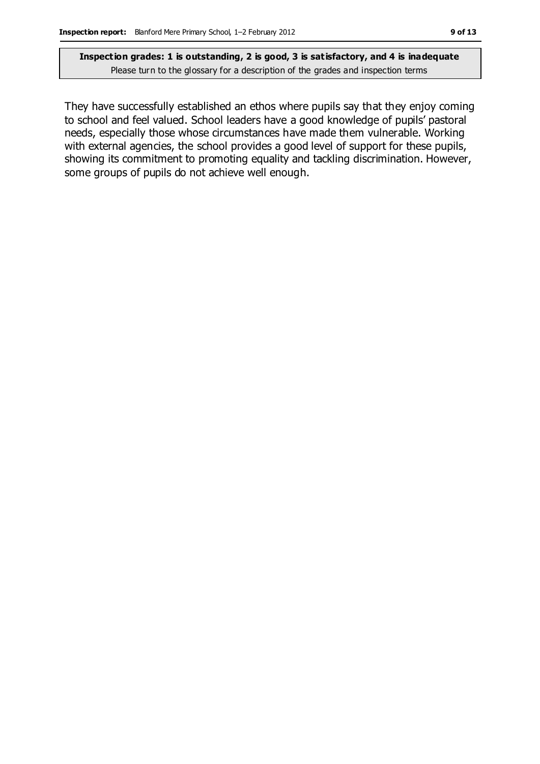They have successfully established an ethos where pupils say that they enjoy coming to school and feel valued. School leaders have a good knowledge of pupils' pastoral needs, especially those whose circumstances have made them vulnerable. Working with external agencies, the school provides a good level of support for these pupils, showing its commitment to promoting equality and tackling discrimination. However, some groups of pupils do not achieve well enough.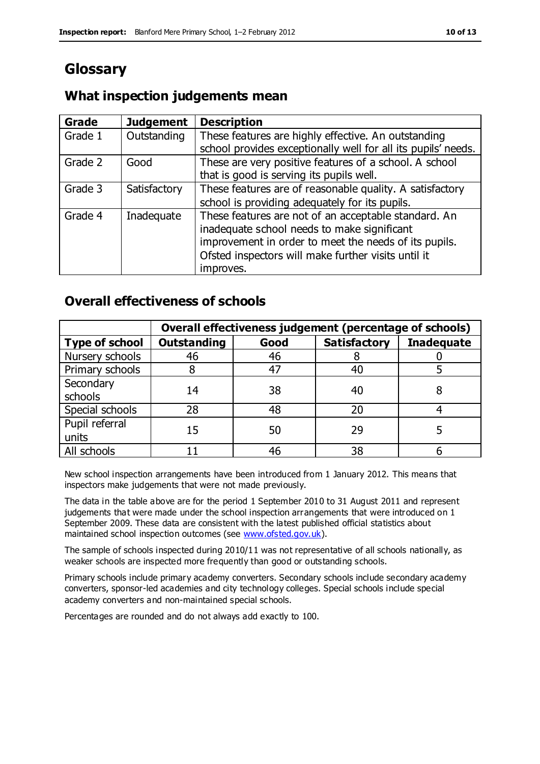# **Glossary**

# **What inspection judgements mean**

| <b>Grade</b> | <b>Judgement</b> | <b>Description</b>                                                                                                   |
|--------------|------------------|----------------------------------------------------------------------------------------------------------------------|
| Grade 1      | Outstanding      | These features are highly effective. An outstanding<br>school provides exceptionally well for all its pupils' needs. |
|              |                  |                                                                                                                      |
| Grade 2      | Good             | These are very positive features of a school. A school                                                               |
|              |                  | that is good is serving its pupils well.                                                                             |
| Grade 3      | Satisfactory     | These features are of reasonable quality. A satisfactory                                                             |
|              |                  | school is providing adequately for its pupils.                                                                       |
| Grade 4      | Inadequate       | These features are not of an acceptable standard. An                                                                 |
|              |                  | inadequate school needs to make significant                                                                          |
|              |                  | improvement in order to meet the needs of its pupils.                                                                |
|              |                  | Ofsted inspectors will make further visits until it                                                                  |
|              |                  | improves.                                                                                                            |

### **Overall effectiveness of schools**

|                         | Overall effectiveness judgement (percentage of schools) |      |                     |                   |
|-------------------------|---------------------------------------------------------|------|---------------------|-------------------|
| <b>Type of school</b>   | <b>Outstanding</b>                                      | Good | <b>Satisfactory</b> | <b>Inadequate</b> |
| Nursery schools         | 46                                                      | 46   |                     |                   |
| Primary schools         |                                                         | 47   | 40                  |                   |
| Secondary<br>schools    | 14                                                      | 38   | 40                  |                   |
| Special schools         | 28                                                      | 48   | 20                  |                   |
| Pupil referral<br>units | 15                                                      | 50   | 29                  |                   |
| All schools             |                                                         | 46   | 38                  |                   |

New school inspection arrangements have been introduced from 1 January 2012. This means that inspectors make judgements that were not made previously.

The data in the table above are for the period 1 September 2010 to 31 August 2011 and represent judgements that were made under the school inspection arrangements that were introduced on 1 September 2009. These data are consistent with the latest published official statistics about maintained school inspection outcomes (see [www.ofsted.gov.uk\)](http://www.ofsted.gov.uk/).

The sample of schools inspected during 2010/11 was not representative of all schools nationally, as weaker schools are inspected more frequently than good or outstanding schools.

Primary schools include primary academy converters. Secondary schools include secondary academy converters, sponsor-led academies and city technology colleges. Special schools include special academy converters and non-maintained special schools.

Percentages are rounded and do not always add exactly to 100.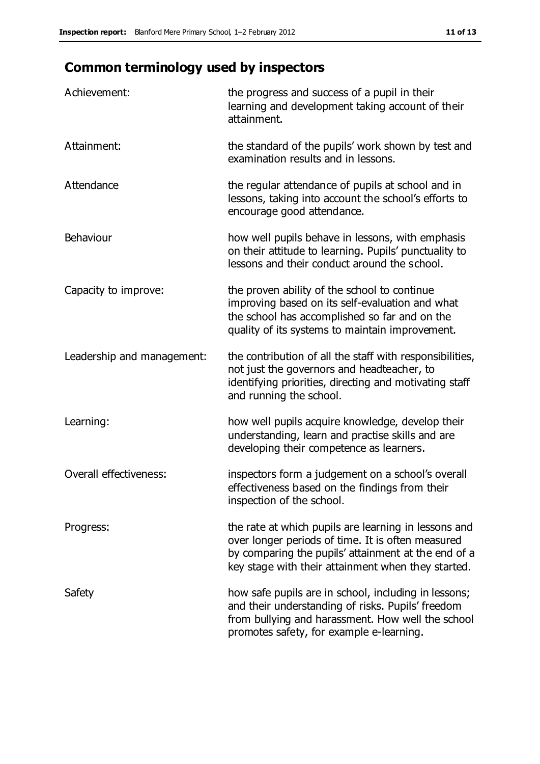# **Common terminology used by inspectors**

| Achievement:               | the progress and success of a pupil in their<br>learning and development taking account of their<br>attainment.                                                                                                        |
|----------------------------|------------------------------------------------------------------------------------------------------------------------------------------------------------------------------------------------------------------------|
| Attainment:                | the standard of the pupils' work shown by test and<br>examination results and in lessons.                                                                                                                              |
| Attendance                 | the regular attendance of pupils at school and in<br>lessons, taking into account the school's efforts to<br>encourage good attendance.                                                                                |
| Behaviour                  | how well pupils behave in lessons, with emphasis<br>on their attitude to learning. Pupils' punctuality to<br>lessons and their conduct around the school.                                                              |
| Capacity to improve:       | the proven ability of the school to continue<br>improving based on its self-evaluation and what<br>the school has accomplished so far and on the<br>quality of its systems to maintain improvement.                    |
| Leadership and management: | the contribution of all the staff with responsibilities,<br>not just the governors and headteacher, to<br>identifying priorities, directing and motivating staff<br>and running the school.                            |
| Learning:                  | how well pupils acquire knowledge, develop their<br>understanding, learn and practise skills and are<br>developing their competence as learners.                                                                       |
| Overall effectiveness:     | inspectors form a judgement on a school's overall<br>effectiveness based on the findings from their<br>inspection of the school.                                                                                       |
| Progress:                  | the rate at which pupils are learning in lessons and<br>over longer periods of time. It is often measured<br>by comparing the pupils' attainment at the end of a<br>key stage with their attainment when they started. |
| Safety                     | how safe pupils are in school, including in lessons;<br>and their understanding of risks. Pupils' freedom<br>from bullying and harassment. How well the school<br>promotes safety, for example e-learning.             |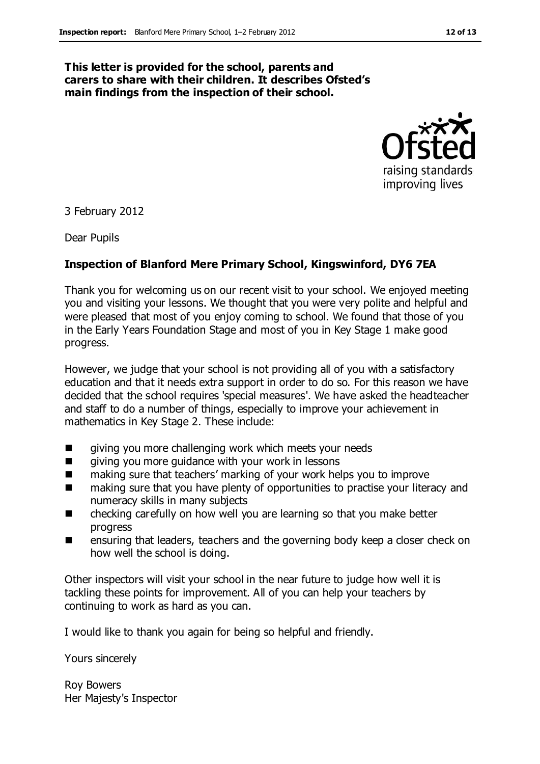#### **This letter is provided for the school, parents and carers to share with their children. It describes Ofsted's main findings from the inspection of their school.**



3 February 2012

Dear Pupils

#### **Inspection of Blanford Mere Primary School, Kingswinford, DY6 7EA**

Thank you for welcoming us on our recent visit to your school. We enjoyed meeting you and visiting your lessons. We thought that you were very polite and helpful and were pleased that most of you enjoy coming to school. We found that those of you in the Early Years Foundation Stage and most of you in Key Stage 1 make good progress.

However, we judge that your school is not providing all of you with a satisfactory education and that it needs extra support in order to do so. For this reason we have decided that the school requires 'special measures'. We have asked the headteacher and staff to do a number of things, especially to improve your achievement in mathematics in Key Stage 2. These include:

- **E** giving you more challenging work which meets your needs
- **E** giving you more guidance with your work in lessons
- making sure that teachers' marking of your work helps you to improve
- making sure that you have plenty of opportunities to practise your literacy and numeracy skills in many subjects
- checking carefully on how well you are learning so that you make better progress
- **EXEC** ensuring that leaders, teachers and the governing body keep a closer check on how well the school is doing.

Other inspectors will visit your school in the near future to judge how well it is tackling these points for improvement. All of you can help your teachers by continuing to work as hard as you can.

I would like to thank you again for being so helpful and friendly.

Yours sincerely

Roy Bowers Her Majesty's Inspector